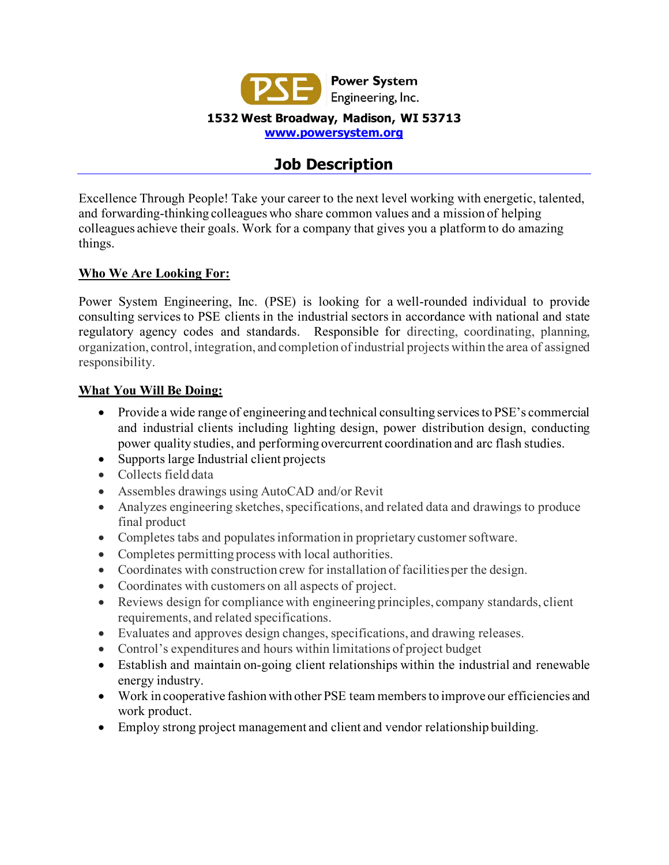

# **Job Description**

Excellence Through People! Take your career to the next level working with energetic, talented, and forwarding-thinking colleagues who share common values and a mission of helping colleagues achieve their goals. Work for a company that gives you a platform to do amazing things.

## **Who We Are Looking For:**

Power System Engineering, Inc. (PSE) is looking for a well-rounded individual to provide consulting services to PSE clients in the industrial sectors in accordance with national and state regulatory agency codes and standards. Responsible for directing, coordinating, planning, organization, control, integration, and completion of industrial projects within the area of assigned responsibility.

### **What You Will Be Doing:**

- Provide a wide range of engineering and technical consulting services to PSE's commercial and industrial clients including lighting design, power distribution design, conducting power quality studies, and performing overcurrent coordination and arc flash studies.
- Supports large Industrial client projects
- Collects field data
- Assembles drawings using AutoCAD and/or Revit
- Analyzes engineering sketches, specifications, and related data and drawings to produce final product
- Completes tabs and populates information in proprietary customer software.
- Completes permitting process with local authorities.
- Coordinates with construction crew for installation of facilities per the design.
- Coordinates with customers on all aspects of project.
- Reviews design for compliance with engineering principles, company standards, client requirements, and related specifications.
- Evaluates and approves design changes, specifications, and drawing releases.
- Control's expenditures and hours within limitations of project budget
- Establish and maintain on-going client relationships within the industrial and renewable energy industry.
- Work in cooperative fashion with other PSE team members to improve our efficiencies and work product.
- Employ strong project management and client and vendor relationship building.